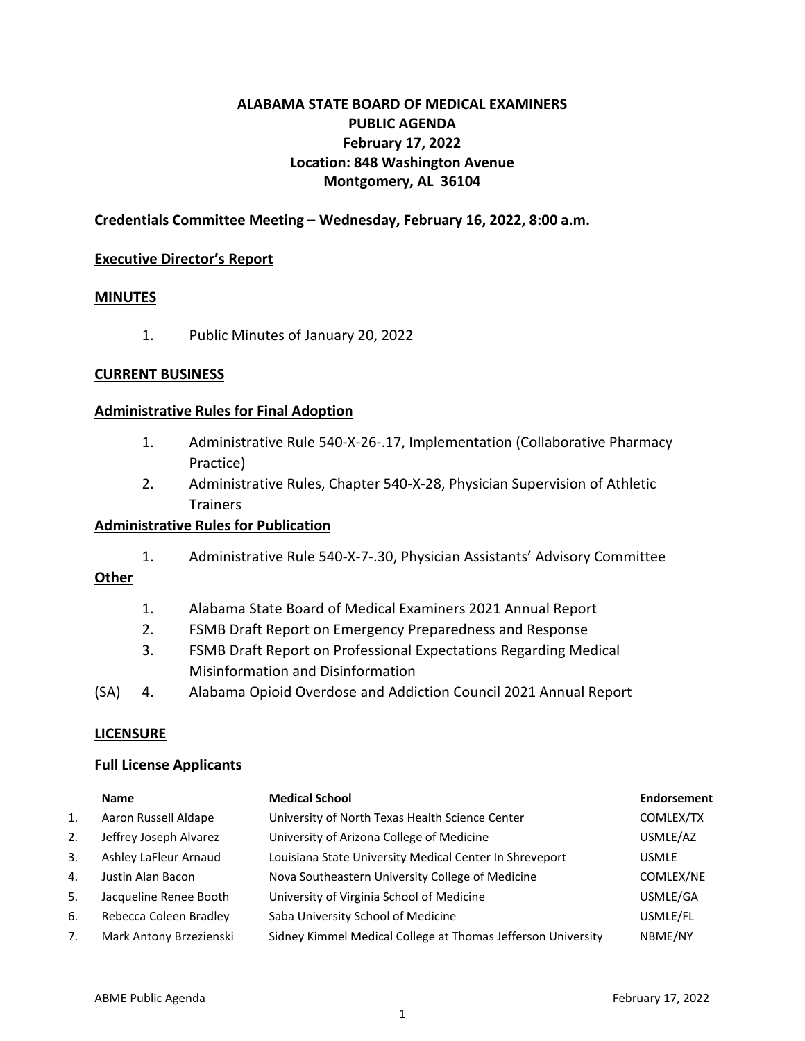## **ALABAMA STATE BOARD OF MEDICAL EXAMINERS PUBLIC AGENDA February 17, 2022 Location: 848 Washington Avenue Montgomery, AL 36104**

### **Credentials Committee Meeting – Wednesday, February 16, 2022, 8:00 a.m.**

#### **Executive Director's Report**

#### **MINUTES**

1. Public Minutes of January 20, 2022

#### **CURRENT BUSINESS**

#### **Administrative Rules for Final Adoption**

- 1. Administrative Rule 540-X-26-.17, Implementation (Collaborative Pharmacy Practice)
- 2. Administrative Rules, Chapter 540-X-28, Physician Supervision of Athletic **Trainers**

#### **Administrative Rules for Publication**

1. Administrative Rule 540-X-7-.30, Physician Assistants' Advisory Committee

### **Other**

- 1. Alabama State Board of Medical Examiners 2021 Annual Report
- 2. FSMB Draft Report on Emergency Preparedness and Response
- 3. FSMB Draft Report on Professional Expectations Regarding Medical Misinformation and Disinformation
- (SA) 4. Alabama Opioid Overdose and Addiction Council 2021 Annual Report

#### **LICENSURE**

#### **Full License Applicants**

|    | Name                    | <b>Medical School</b>                                        | <b>Endorsement</b> |
|----|-------------------------|--------------------------------------------------------------|--------------------|
| 1. | Aaron Russell Aldape    | University of North Texas Health Science Center              | COMLEX/TX          |
| 2. | Jeffrey Joseph Alvarez  | University of Arizona College of Medicine                    | USMLE/AZ           |
| 3. | Ashley LaFleur Arnaud   | Louisiana State University Medical Center In Shreveport      | <b>USMLE</b>       |
| 4. | Justin Alan Bacon       | Nova Southeastern University College of Medicine             | COMLEX/NE          |
| 5. | Jacqueline Renee Booth  | University of Virginia School of Medicine                    | USMLE/GA           |
| 6. | Rebecca Coleen Bradley  | Saba University School of Medicine                           | USMLE/FL           |
| 7. | Mark Antony Brzezienski | Sidney Kimmel Medical College at Thomas Jefferson University | NBME/NY            |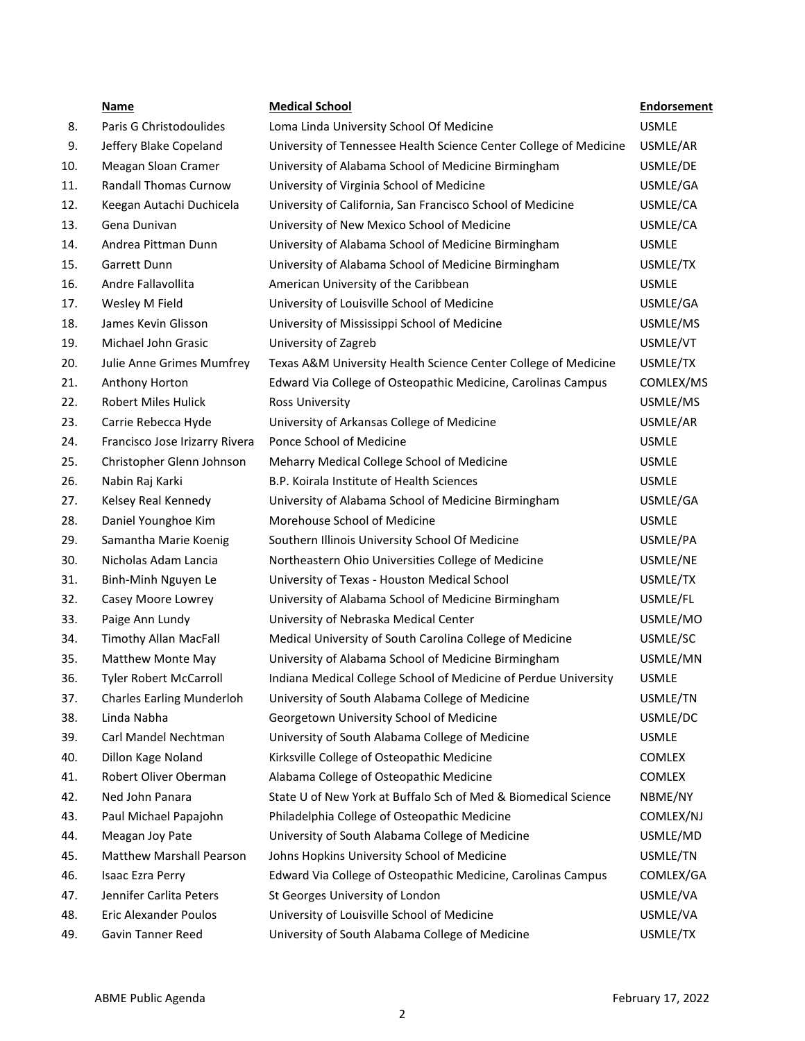|     | Name                             | <b>Medical School</b>                                             | <b>Endorsement</b> |
|-----|----------------------------------|-------------------------------------------------------------------|--------------------|
| 8.  | Paris G Christodoulides          | Loma Linda University School Of Medicine                          | <b>USMLE</b>       |
| 9.  | Jeffery Blake Copeland           | University of Tennessee Health Science Center College of Medicine | USMLE/AR           |
| 10. | Meagan Sloan Cramer              | University of Alabama School of Medicine Birmingham               | USMLE/DE           |
| 11. | <b>Randall Thomas Curnow</b>     | University of Virginia School of Medicine                         | USMLE/GA           |
| 12. | Keegan Autachi Duchicela         | University of California, San Francisco School of Medicine        | USMLE/CA           |
| 13. | Gena Dunivan                     | University of New Mexico School of Medicine                       | USMLE/CA           |
| 14. | Andrea Pittman Dunn              | University of Alabama School of Medicine Birmingham               | <b>USMLE</b>       |
| 15. | Garrett Dunn                     | University of Alabama School of Medicine Birmingham               | USMLE/TX           |
| 16. | Andre Fallavollita               | American University of the Caribbean                              | <b>USMLE</b>       |
| 17. | Wesley M Field                   | University of Louisville School of Medicine                       | USMLE/GA           |
| 18. | James Kevin Glisson              | University of Mississippi School of Medicine                      | USMLE/MS           |
| 19. | Michael John Grasic              | University of Zagreb                                              | USMLE/VT           |
| 20. | Julie Anne Grimes Mumfrey        | Texas A&M University Health Science Center College of Medicine    | USMLE/TX           |
| 21. | Anthony Horton                   | Edward Via College of Osteopathic Medicine, Carolinas Campus      | COMLEX/MS          |
| 22. | <b>Robert Miles Hulick</b>       | <b>Ross University</b>                                            | USMLE/MS           |
| 23. | Carrie Rebecca Hyde              | University of Arkansas College of Medicine                        | USMLE/AR           |
| 24. | Francisco Jose Irizarry Rivera   | Ponce School of Medicine                                          | <b>USMLE</b>       |
| 25. | Christopher Glenn Johnson        | Meharry Medical College School of Medicine                        | <b>USMLE</b>       |
| 26. | Nabin Raj Karki                  | B.P. Koirala Institute of Health Sciences                         | <b>USMLE</b>       |
| 27. | Kelsey Real Kennedy              | University of Alabama School of Medicine Birmingham               | USMLE/GA           |
| 28. | Daniel Younghoe Kim              | Morehouse School of Medicine                                      | <b>USMLE</b>       |
| 29. | Samantha Marie Koenig            | Southern Illinois University School Of Medicine                   | USMLE/PA           |
| 30. | Nicholas Adam Lancia             | Northeastern Ohio Universities College of Medicine                | USMLE/NE           |
| 31. | Binh-Minh Nguyen Le              | University of Texas - Houston Medical School                      | USMLE/TX           |
| 32. | Casey Moore Lowrey               | University of Alabama School of Medicine Birmingham               | USMLE/FL           |
| 33. | Paige Ann Lundy                  | University of Nebraska Medical Center                             | USMLE/MO           |
| 34. | <b>Timothy Allan MacFall</b>     | Medical University of South Carolina College of Medicine          | USMLE/SC           |
| 35. | Matthew Monte May                | University of Alabama School of Medicine Birmingham               | USMLE/MN           |
| 36. | <b>Tyler Robert McCarroll</b>    | Indiana Medical College School of Medicine of Perdue University   | <b>USMLE</b>       |
| 37. | <b>Charles Earling Munderloh</b> | University of South Alabama College of Medicine                   | USMLE/TN           |
| 38. | Linda Nabha                      | Georgetown University School of Medicine                          | USMLE/DC           |
| 39. | Carl Mandel Nechtman             | University of South Alabama College of Medicine                   | <b>USMLE</b>       |
| 40. | Dillon Kage Noland               | Kirksville College of Osteopathic Medicine                        | COMLEX             |
| 41. | Robert Oliver Oberman            | Alabama College of Osteopathic Medicine                           | <b>COMLEX</b>      |
| 42. | Ned John Panara                  | State U of New York at Buffalo Sch of Med & Biomedical Science    | NBME/NY            |
| 43. | Paul Michael Papajohn            | Philadelphia College of Osteopathic Medicine                      | COMLEX/NJ          |
| 44. | Meagan Joy Pate                  | University of South Alabama College of Medicine                   | USMLE/MD           |
| 45. | <b>Matthew Marshall Pearson</b>  | Johns Hopkins University School of Medicine                       | USMLE/TN           |
| 46. | Isaac Ezra Perry                 | Edward Via College of Osteopathic Medicine, Carolinas Campus      | COMLEX/GA          |
| 47. | Jennifer Carlita Peters          | St Georges University of London                                   | USMLE/VA           |
| 48. | Eric Alexander Poulos            | University of Louisville School of Medicine                       | USMLE/VA           |
| 49. | Gavin Tanner Reed                | University of South Alabama College of Medicine                   | USMLE/TX           |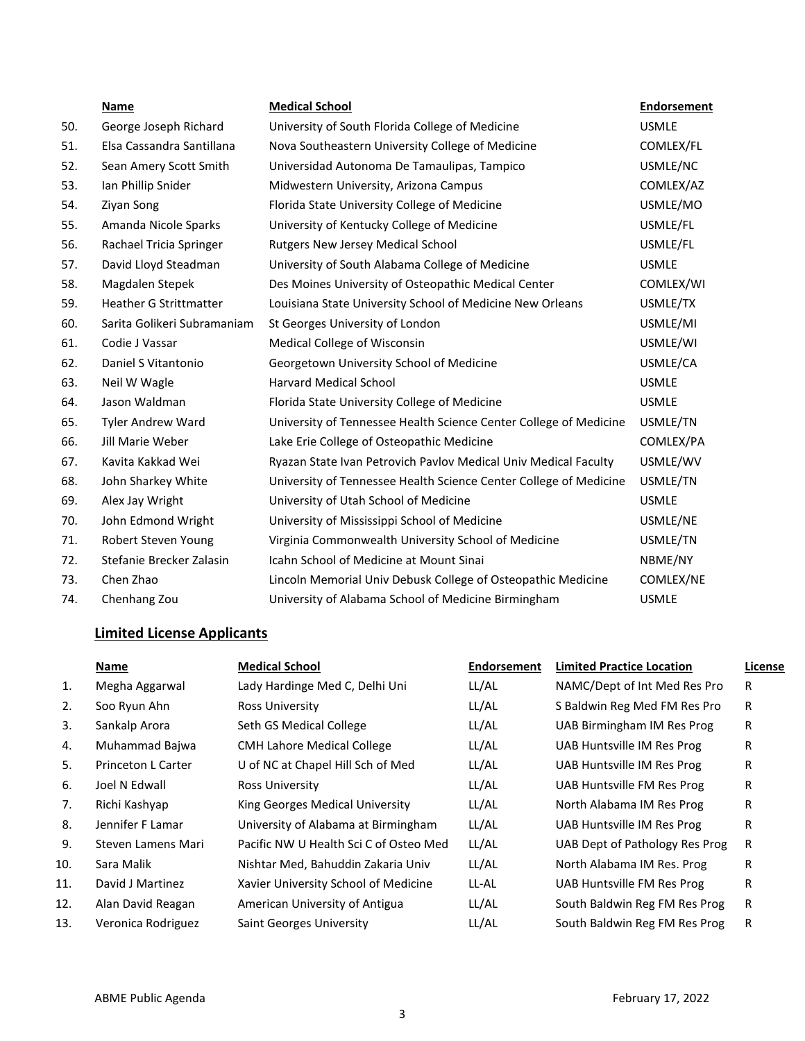|     | Name                          | <b>Medical School</b>                                             | <b>Endorsement</b> |
|-----|-------------------------------|-------------------------------------------------------------------|--------------------|
| 50. | George Joseph Richard         | University of South Florida College of Medicine                   | <b>USMLE</b>       |
| 51. | Elsa Cassandra Santillana     | Nova Southeastern University College of Medicine                  | COMLEX/FL          |
| 52. | Sean Amery Scott Smith        | Universidad Autonoma De Tamaulipas, Tampico                       | USMLE/NC           |
| 53. | Ian Phillip Snider            | Midwestern University, Arizona Campus                             | COMLEX/AZ          |
| 54. | Ziyan Song                    | Florida State University College of Medicine                      | USMLE/MO           |
| 55. | Amanda Nicole Sparks          | University of Kentucky College of Medicine                        | USMLE/FL           |
| 56. | Rachael Tricia Springer       | Rutgers New Jersey Medical School                                 | USMLE/FL           |
| 57. | David Lloyd Steadman          | University of South Alabama College of Medicine                   | <b>USMLE</b>       |
| 58. | Magdalen Stepek               | Des Moines University of Osteopathic Medical Center               | COMLEX/WI          |
| 59. | <b>Heather G Strittmatter</b> | Louisiana State University School of Medicine New Orleans         | USMLE/TX           |
| 60. | Sarita Golikeri Subramaniam   | St Georges University of London                                   | USMLE/MI           |
| 61. | Codie J Vassar                | Medical College of Wisconsin                                      | USMLE/WI           |
| 62. | Daniel S Vitantonio           | Georgetown University School of Medicine                          | USMLE/CA           |
| 63. | Neil W Wagle                  | <b>Harvard Medical School</b>                                     | <b>USMLE</b>       |
| 64. | Jason Waldman                 | Florida State University College of Medicine                      | <b>USMLE</b>       |
| 65. | Tyler Andrew Ward             | University of Tennessee Health Science Center College of Medicine | USMLE/TN           |
| 66. | Jill Marie Weber              | Lake Erie College of Osteopathic Medicine                         | COMLEX/PA          |
| 67. | Kavita Kakkad Wei             | Ryazan State Ivan Petrovich Pavlov Medical Univ Medical Faculty   | USMLE/WV           |
| 68. | John Sharkey White            | University of Tennessee Health Science Center College of Medicine | USMLE/TN           |
| 69. | Alex Jay Wright               | University of Utah School of Medicine                             | <b>USMLE</b>       |
| 70. | John Edmond Wright            | University of Mississippi School of Medicine                      | USMLE/NE           |
| 71. | Robert Steven Young           | Virginia Commonwealth University School of Medicine               | USMLE/TN           |
| 72. | Stefanie Brecker Zalasin      | Icahn School of Medicine at Mount Sinai                           | NBME/NY            |
| 73. | Chen Zhao                     | Lincoln Memorial Univ Debusk College of Osteopathic Medicine      | COMLEX/NE          |
| 74. | Chenhang Zou                  | University of Alabama School of Medicine Birmingham               | <b>USMLE</b>       |

# **Limited License Applicants**

|     | Name               | <b>Medical School</b>                  | <b>Endorsement</b> | <b>Limited Practice Location</b> | License |
|-----|--------------------|----------------------------------------|--------------------|----------------------------------|---------|
| 1.  | Megha Aggarwal     | Lady Hardinge Med C, Delhi Uni         | LL/AL              | NAMC/Dept of Int Med Res Pro     | R       |
| 2.  | Soo Ryun Ahn       | Ross University                        | LL/AL              | S Baldwin Reg Med FM Res Pro     | R       |
| 3.  | Sankalp Arora      | Seth GS Medical College                | LL/AL              | UAB Birmingham IM Res Prog       | R       |
| 4.  | Muhammad Bajwa     | <b>CMH Lahore Medical College</b>      | LL/AL              | UAB Huntsville IM Res Prog       | R       |
| 5.  | Princeton L Carter | U of NC at Chapel Hill Sch of Med      | LL/AL              | UAB Huntsville IM Res Prog       | R       |
| 6.  | Joel N Edwall      | <b>Ross University</b>                 | LL/AL              | UAB Huntsville FM Res Prog       | R       |
| 7.  | Richi Kashyap      | King Georges Medical University        | LL/AL              | North Alabama IM Res Prog        | R       |
| 8.  | Jennifer F Lamar   | University of Alabama at Birmingham    | LL/AL              | UAB Huntsville IM Res Prog       | R       |
| 9.  | Steven Lamens Mari | Pacific NW U Health Sci C of Osteo Med | LL/AL              | UAB Dept of Pathology Res Prog   | R       |
| 10. | Sara Malik         | Nishtar Med, Bahuddin Zakaria Univ     | LL/AL              | North Alabama IM Res. Prog       | R       |
| 11. | David J Martinez   | Xavier University School of Medicine   | LL-AL              | UAB Huntsville FM Res Prog       | R       |
| 12. | Alan David Reagan  | American University of Antigua         | LL/AL              | South Baldwin Reg FM Res Prog    | R       |
| 13. | Veronica Rodriguez | Saint Georges University               | LL/AL              | South Baldwin Reg FM Res Prog    | R       |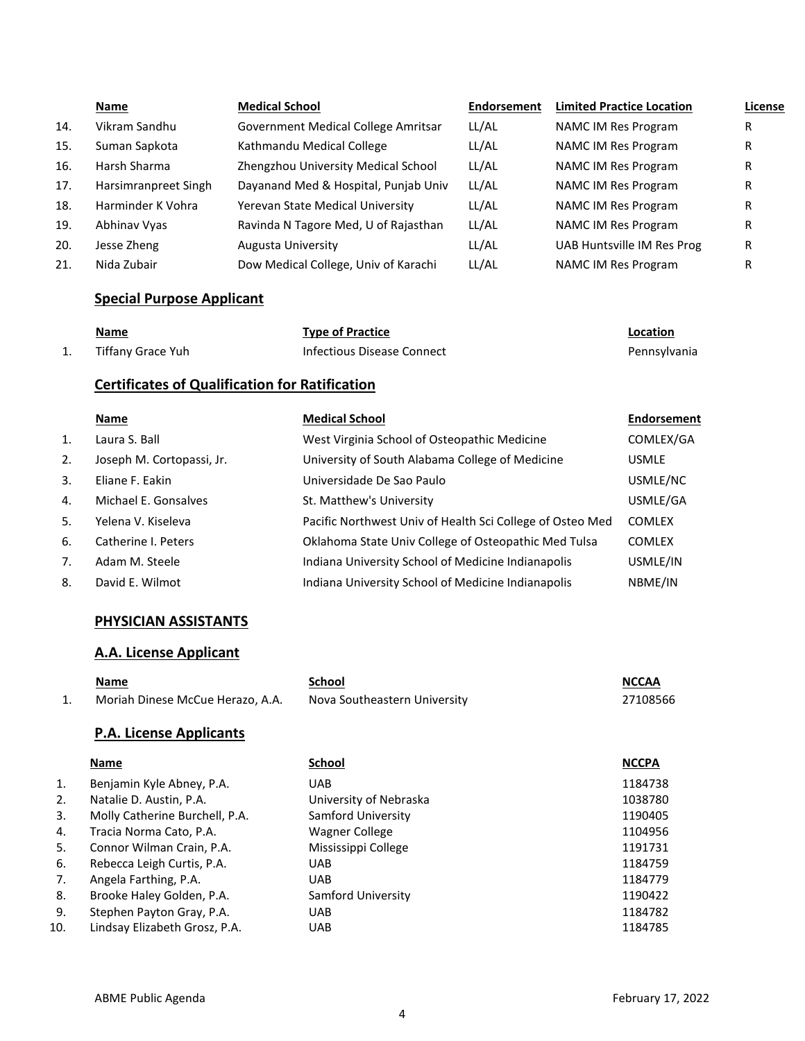|     | Name                 | <b>Medical School</b>                | Endorsement | <b>Limited Practice Location</b> | License |
|-----|----------------------|--------------------------------------|-------------|----------------------------------|---------|
| 14. | Vikram Sandhu        | Government Medical College Amritsar  | LL/AL       | NAMC IM Res Program              | R       |
| 15. | Suman Sapkota        | Kathmandu Medical College            | LL/AL       | <b>NAMC IM Res Program</b>       | R       |
| 16. | Harsh Sharma         | Zhengzhou University Medical School  | LL/AL       | <b>NAMC IM Res Program</b>       | R       |
| 17. | Harsimranpreet Singh | Dayanand Med & Hospital, Punjab Univ | LL/AL       | <b>NAMC IM Res Program</b>       | R       |
| 18. | Harminder K Vohra    | Yerevan State Medical University     | LL/AL       | <b>NAMC IM Res Program</b>       | R       |
| 19. | Abhinav Vyas         | Ravinda N Tagore Med, U of Rajasthan | LL/AL       | <b>NAMC IM Res Program</b>       | R       |
| 20. | Jesse Zheng          | <b>Augusta University</b>            | LL/AL       | UAB Huntsville IM Res Prog       | R       |
| 21. | Nida Zubair          | Dow Medical College, Univ of Karachi | LL/AL       | <b>NAMC IM Res Program</b>       | R       |

## **Special Purpose Applicant**

| <b>Name</b>       | <b>Type of Practice</b>    | Location     |
|-------------------|----------------------------|--------------|
| Tiffany Grace Yuh | Infectious Disease Connect | Pennsylvania |

## **Certificates of Qualification for Ratification**

|    | Name                      | <b>Medical School</b>                                     | Endorsement   |
|----|---------------------------|-----------------------------------------------------------|---------------|
| 1. | Laura S. Ball             | West Virginia School of Osteopathic Medicine              | COMLEX/GA     |
| 2. | Joseph M. Cortopassi, Jr. | University of South Alabama College of Medicine           | <b>USMLE</b>  |
| 3. | Eliane F. Eakin           | Universidade De Sao Paulo                                 | USMLE/NC      |
| 4. | Michael E. Gonsalves      | St. Matthew's University                                  | USMLE/GA      |
| 5. | Yelena V. Kiseleva        | Pacific Northwest Univ of Health Sci College of Osteo Med | <b>COMLEX</b> |
| 6. | Catherine I. Peters       | Oklahoma State Univ College of Osteopathic Med Tulsa      | <b>COMLEX</b> |
| 7. | Adam M. Steele            | Indiana University School of Medicine Indianapolis        | USMLE/IN      |
| 8. | David E. Wilmot           | Indiana University School of Medicine Indianapolis        | NBME/IN       |

### **PHYSICIAN ASSISTANTS**

## **A.A. License Applicant**

| Name                             | School                       | <b>NCCAA</b> |
|----------------------------------|------------------------------|--------------|
| Moriah Dinese McCue Herazo, A.A. | Nova Southeastern University | 27108566     |
| <b>P.A. License Applicants</b>   |                              |              |
| . .                              | - '                          |              |

|     | Name                           | <b>School</b>          | <b>NCCPA</b> |
|-----|--------------------------------|------------------------|--------------|
| 1.  | Benjamin Kyle Abney, P.A.      | <b>UAB</b>             | 1184738      |
| 2.  | Natalie D. Austin, P.A.        | University of Nebraska | 1038780      |
| 3.  | Molly Catherine Burchell, P.A. | Samford University     | 1190405      |
| 4.  | Tracia Norma Cato, P.A.        | Wagner College         | 1104956      |
| 5.  | Connor Wilman Crain, P.A.      | Mississippi College    | 1191731      |
| 6.  | Rebecca Leigh Curtis, P.A.     | <b>UAB</b>             | 1184759      |
| 7.  | Angela Farthing, P.A.          | <b>UAB</b>             | 1184779      |
| 8.  | Brooke Haley Golden, P.A.      | Samford University     | 1190422      |
| 9.  | Stephen Payton Gray, P.A.      | <b>UAB</b>             | 1184782      |
| 10. | Lindsay Elizabeth Grosz, P.A.  | <b>UAB</b>             | 1184785      |
|     |                                |                        |              |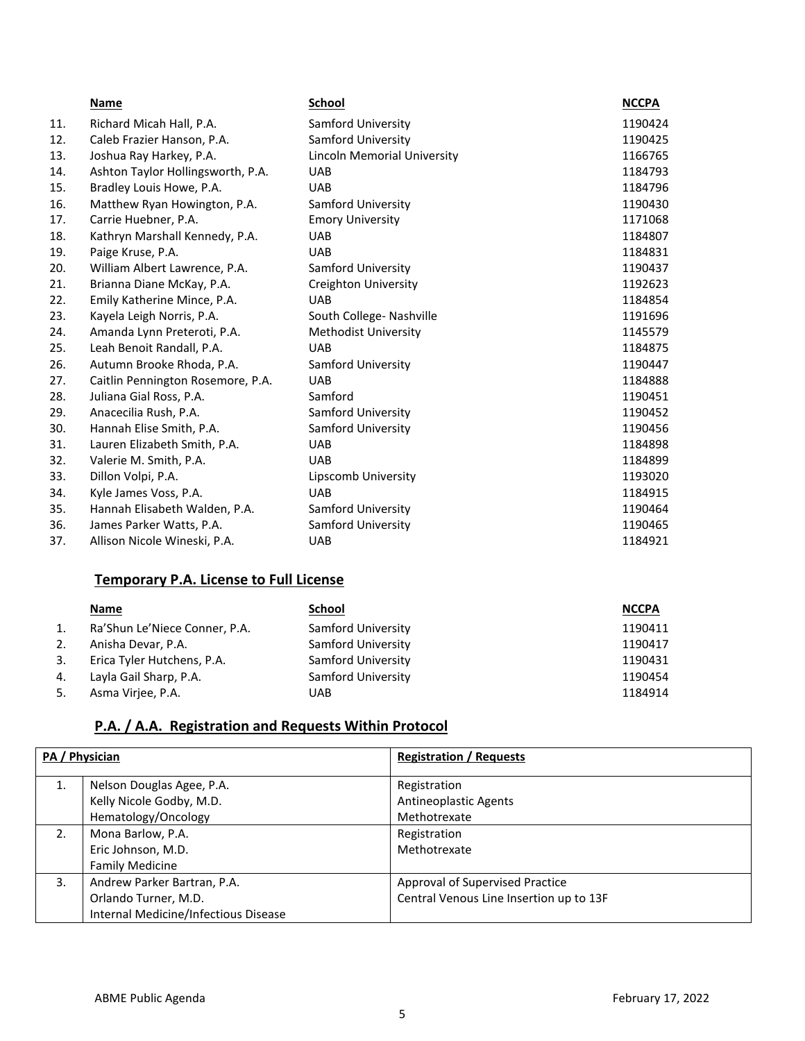|     | Name                              | <b>School</b>               | <b>NCCPA</b> |
|-----|-----------------------------------|-----------------------------|--------------|
| 11. | Richard Micah Hall, P.A.          | Samford University          | 1190424      |
| 12. | Caleb Frazier Hanson, P.A.        | Samford University          | 1190425      |
| 13. | Joshua Ray Harkey, P.A.           | Lincoln Memorial University | 1166765      |
| 14. | Ashton Taylor Hollingsworth, P.A. | <b>UAB</b>                  | 1184793      |
| 15. | Bradley Louis Howe, P.A.          | <b>UAB</b>                  | 1184796      |
| 16. | Matthew Ryan Howington, P.A.      | Samford University          | 1190430      |
| 17. | Carrie Huebner, P.A.              | <b>Emory University</b>     | 1171068      |
| 18. | Kathryn Marshall Kennedy, P.A.    | <b>UAB</b>                  | 1184807      |
| 19. | Paige Kruse, P.A.                 | <b>UAB</b>                  | 1184831      |
| 20. | William Albert Lawrence, P.A.     | Samford University          | 1190437      |
| 21. | Brianna Diane McKay, P.A.         | <b>Creighton University</b> | 1192623      |
| 22. | Emily Katherine Mince, P.A.       | <b>UAB</b>                  | 1184854      |
| 23. | Kayela Leigh Norris, P.A.         | South College- Nashville    | 1191696      |
| 24. | Amanda Lynn Preteroti, P.A.       | <b>Methodist University</b> | 1145579      |
| 25. | Leah Benoit Randall, P.A.         | <b>UAB</b>                  | 1184875      |
| 26. | Autumn Brooke Rhoda, P.A.         | Samford University          | 1190447      |
| 27. | Caitlin Pennington Rosemore, P.A. | <b>UAB</b>                  | 1184888      |
| 28. | Juliana Gial Ross, P.A.           | Samford                     | 1190451      |
| 29. | Anacecilia Rush, P.A.             | Samford University          | 1190452      |
| 30. | Hannah Elise Smith, P.A.          | Samford University          | 1190456      |
| 31. | Lauren Elizabeth Smith, P.A.      | <b>UAB</b>                  | 1184898      |
| 32. | Valerie M. Smith, P.A.            | <b>UAB</b>                  | 1184899      |
| 33. | Dillon Volpi, P.A.                | Lipscomb University         | 1193020      |
| 34. | Kyle James Voss, P.A.             | <b>UAB</b>                  | 1184915      |
| 35. | Hannah Elisabeth Walden, P.A.     | Samford University          | 1190464      |
| 36. | James Parker Watts, P.A.          | Samford University          | 1190465      |
| 37. | Allison Nicole Wineski, P.A.      | <b>UAB</b>                  | 1184921      |

### **Temporary P.A. License to Full License**

|    | Name                          | School             | <b>NCCPA</b> |
|----|-------------------------------|--------------------|--------------|
| 1. | Ra'Shun Le'Niece Conner, P.A. | Samford University | 1190411      |
| 2. | Anisha Devar, P.A.            | Samford University | 1190417      |
| 3. | Erica Tyler Hutchens, P.A.    | Samford University | 1190431      |
| 4. | Layla Gail Sharp, P.A.        | Samford University | 1190454      |
| 5. | Asma Virjee, P.A.             | UAB                | 1184914      |

# **P.A. / A.A. Registration and Requests Within Protocol**

| PA / Physician |                                      | <b>Registration / Requests</b>          |  |
|----------------|--------------------------------------|-----------------------------------------|--|
| $\mathbf{1}$ . | Nelson Douglas Agee, P.A.            | Registration                            |  |
|                | Kelly Nicole Godby, M.D.             | <b>Antineoplastic Agents</b>            |  |
|                | Hematology/Oncology                  | Methotrexate                            |  |
| 2.             | Mona Barlow, P.A.                    | Registration                            |  |
|                | Eric Johnson, M.D.                   | Methotrexate                            |  |
|                | <b>Family Medicine</b>               |                                         |  |
| 3.             | Andrew Parker Bartran, P.A.          | Approval of Supervised Practice         |  |
|                | Orlando Turner, M.D.                 | Central Venous Line Insertion up to 13F |  |
|                | Internal Medicine/Infectious Disease |                                         |  |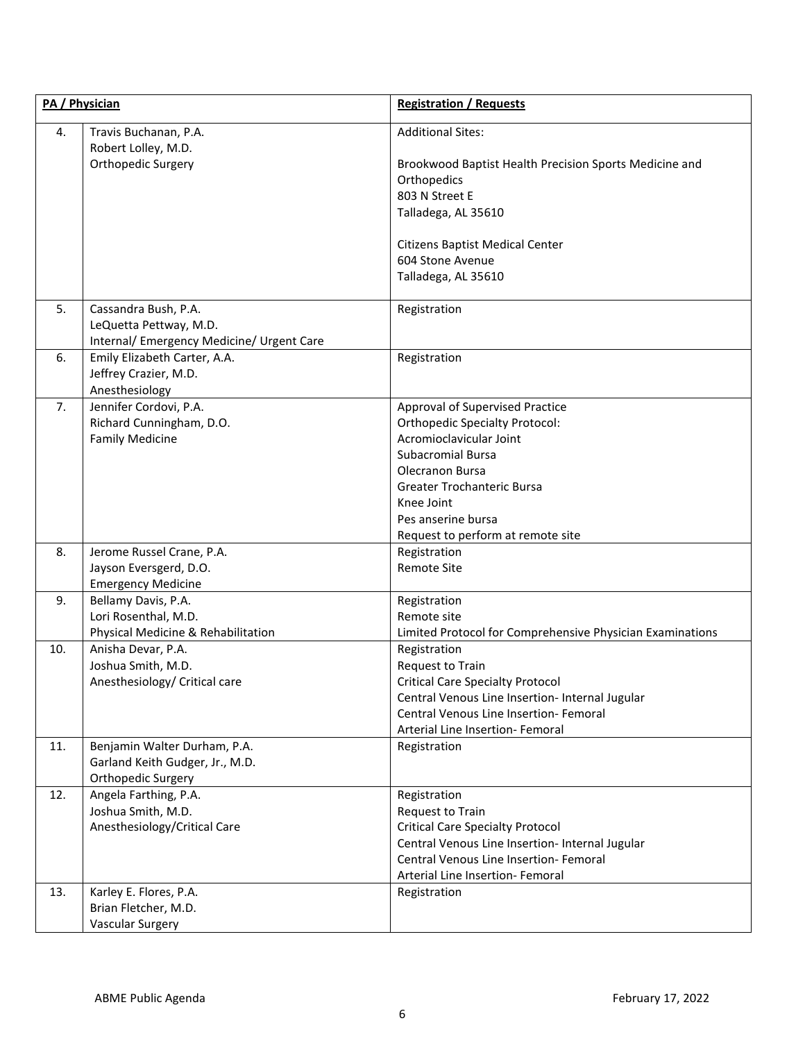| PA / Physician |                                                                                             | <b>Registration / Requests</b>                                                                                                                                                                                                                                   |  |
|----------------|---------------------------------------------------------------------------------------------|------------------------------------------------------------------------------------------------------------------------------------------------------------------------------------------------------------------------------------------------------------------|--|
| 4.             | Travis Buchanan, P.A.<br>Robert Lolley, M.D.<br>Orthopedic Surgery                          | <b>Additional Sites:</b><br>Brookwood Baptist Health Precision Sports Medicine and<br>Orthopedics<br>803 N Street E<br>Talladega, AL 35610<br>Citizens Baptist Medical Center<br>604 Stone Avenue<br>Talladega, AL 35610                                         |  |
| 5.             | Cassandra Bush, P.A.<br>LeQuetta Pettway, M.D.<br>Internal/ Emergency Medicine/ Urgent Care | Registration                                                                                                                                                                                                                                                     |  |
| 6.             | Emily Elizabeth Carter, A.A.<br>Jeffrey Crazier, M.D.<br>Anesthesiology                     | Registration                                                                                                                                                                                                                                                     |  |
| 7.             | Jennifer Cordovi, P.A.<br>Richard Cunningham, D.O.<br><b>Family Medicine</b>                | Approval of Supervised Practice<br><b>Orthopedic Specialty Protocol:</b><br>Acromioclavicular Joint<br><b>Subacromial Bursa</b><br><b>Olecranon Bursa</b><br>Greater Trochanteric Bursa<br>Knee Joint<br>Pes anserine bursa<br>Request to perform at remote site |  |
| 8.             | Jerome Russel Crane, P.A.<br>Jayson Eversgerd, D.O.<br><b>Emergency Medicine</b>            | Registration<br><b>Remote Site</b>                                                                                                                                                                                                                               |  |
| 9.             | Bellamy Davis, P.A.<br>Lori Rosenthal, M.D.<br>Physical Medicine & Rehabilitation           | Registration<br>Remote site<br>Limited Protocol for Comprehensive Physician Examinations                                                                                                                                                                         |  |
| 10.            | Anisha Devar, P.A.<br>Joshua Smith, M.D.<br>Anesthesiology/ Critical care                   | Registration<br>Request to Train<br><b>Critical Care Specialty Protocol</b><br>Central Venous Line Insertion- Internal Jugular<br>Central Venous Line Insertion- Femoral<br>Arterial Line Insertion- Femoral                                                     |  |
| 11.            | Benjamin Walter Durham, P.A.<br>Garland Keith Gudger, Jr., M.D.<br>Orthopedic Surgery       | Registration                                                                                                                                                                                                                                                     |  |
| 12.            | Angela Farthing, P.A.<br>Joshua Smith, M.D.<br>Anesthesiology/Critical Care                 | Registration<br>Request to Train<br><b>Critical Care Specialty Protocol</b><br>Central Venous Line Insertion- Internal Jugular<br>Central Venous Line Insertion- Femoral<br>Arterial Line Insertion- Femoral                                                     |  |
| 13.            | Karley E. Flores, P.A.<br>Brian Fletcher, M.D.<br><b>Vascular Surgery</b>                   | Registration                                                                                                                                                                                                                                                     |  |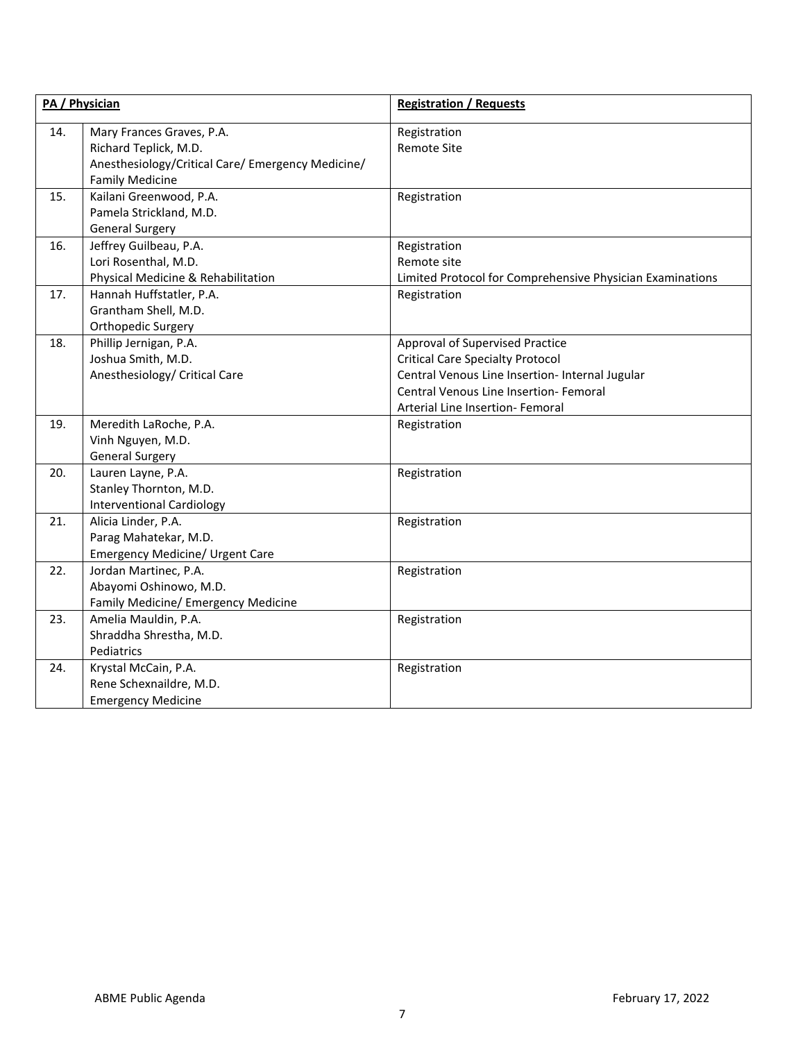|     | PA / Physician                                                                                                                    | <b>Registration / Requests</b>                                                                                                                                                                              |  |
|-----|-----------------------------------------------------------------------------------------------------------------------------------|-------------------------------------------------------------------------------------------------------------------------------------------------------------------------------------------------------------|--|
| 14. | Mary Frances Graves, P.A.<br>Richard Teplick, M.D.<br>Anesthesiology/Critical Care/ Emergency Medicine/<br><b>Family Medicine</b> | Registration<br><b>Remote Site</b>                                                                                                                                                                          |  |
| 15. | Kailani Greenwood, P.A.<br>Pamela Strickland, M.D.<br><b>General Surgery</b>                                                      | Registration                                                                                                                                                                                                |  |
| 16. | Jeffrey Guilbeau, P.A.<br>Lori Rosenthal, M.D.<br>Physical Medicine & Rehabilitation                                              | Registration<br>Remote site<br>Limited Protocol for Comprehensive Physician Examinations                                                                                                                    |  |
| 17. | Hannah Huffstatler, P.A.<br>Grantham Shell, M.D.<br>Orthopedic Surgery                                                            | Registration                                                                                                                                                                                                |  |
| 18. | Phillip Jernigan, P.A.<br>Joshua Smith, M.D.<br>Anesthesiology/ Critical Care                                                     | Approval of Supervised Practice<br><b>Critical Care Specialty Protocol</b><br>Central Venous Line Insertion- Internal Jugular<br>Central Venous Line Insertion- Femoral<br>Arterial Line Insertion- Femoral |  |
| 19. | Meredith LaRoche, P.A.<br>Vinh Nguyen, M.D.<br><b>General Surgery</b>                                                             | Registration                                                                                                                                                                                                |  |
| 20. | Lauren Layne, P.A.<br>Stanley Thornton, M.D.<br><b>Interventional Cardiology</b>                                                  | Registration                                                                                                                                                                                                |  |
| 21. | Alicia Linder, P.A.<br>Parag Mahatekar, M.D.<br>Emergency Medicine/ Urgent Care                                                   | Registration                                                                                                                                                                                                |  |
| 22. | Jordan Martinec, P.A.<br>Abayomi Oshinowo, M.D.<br>Family Medicine/ Emergency Medicine                                            | Registration                                                                                                                                                                                                |  |
| 23. | Amelia Mauldin, P.A.<br>Shraddha Shrestha, M.D.<br>Pediatrics                                                                     | Registration                                                                                                                                                                                                |  |
| 24. | Krystal McCain, P.A.<br>Rene Schexnaildre, M.D.<br><b>Emergency Medicine</b>                                                      | Registration                                                                                                                                                                                                |  |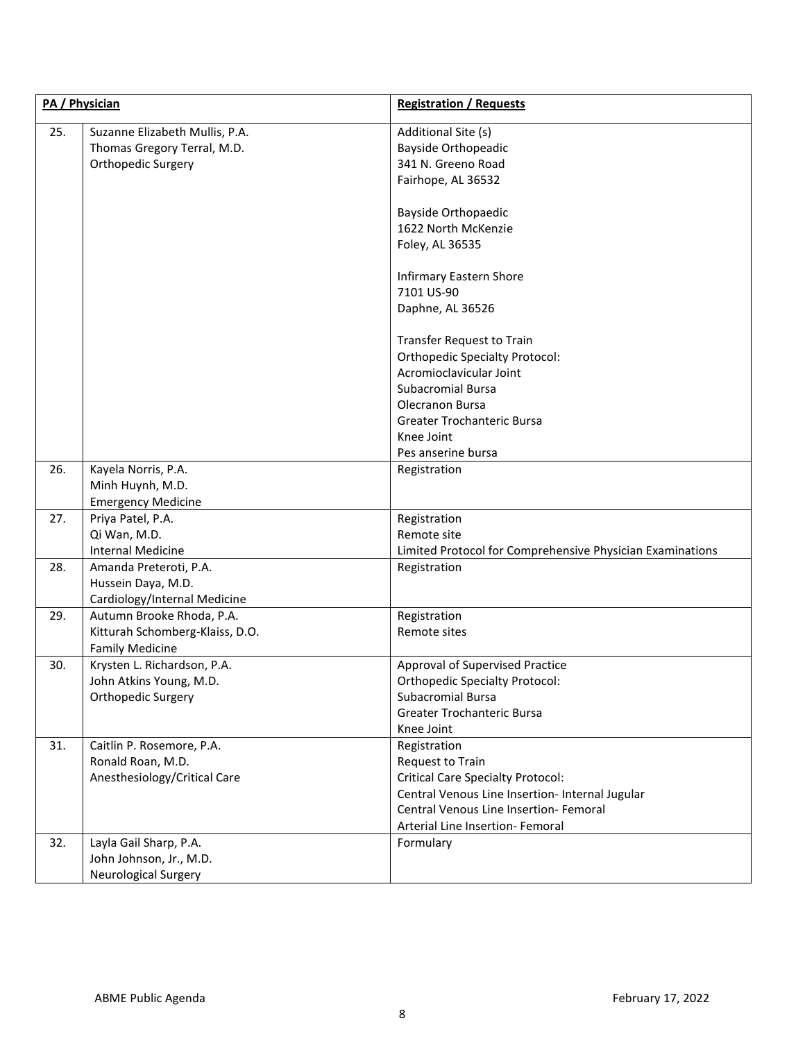|     | PA / Physician                                                                         | <b>Registration / Requests</b>                                                                                                                                                                                |  |
|-----|----------------------------------------------------------------------------------------|---------------------------------------------------------------------------------------------------------------------------------------------------------------------------------------------------------------|--|
| 25. | Suzanne Elizabeth Mullis, P.A.<br>Thomas Gregory Terral, M.D.<br>Orthopedic Surgery    | Additional Site (s)<br><b>Bayside Orthopeadic</b><br>341 N. Greeno Road<br>Fairhope, AL 36532                                                                                                                 |  |
|     |                                                                                        | <b>Bayside Orthopaedic</b><br>1622 North McKenzie<br>Foley, AL 36535                                                                                                                                          |  |
|     |                                                                                        | <b>Infirmary Eastern Shore</b><br>7101 US-90<br>Daphne, AL 36526                                                                                                                                              |  |
|     |                                                                                        | Transfer Request to Train<br><b>Orthopedic Specialty Protocol:</b><br>Acromioclavicular Joint<br>Subacromial Bursa<br>Olecranon Bursa<br>Greater Trochanteric Bursa<br>Knee Joint<br>Pes anserine bursa       |  |
| 26. | Kayela Norris, P.A.<br>Minh Huynh, M.D.<br><b>Emergency Medicine</b>                   | Registration                                                                                                                                                                                                  |  |
| 27. | Priya Patel, P.A.<br>Qi Wan, M.D.<br><b>Internal Medicine</b>                          | Registration<br>Remote site<br>Limited Protocol for Comprehensive Physician Examinations                                                                                                                      |  |
| 28. | Amanda Preteroti, P.A.<br>Hussein Daya, M.D.<br>Cardiology/Internal Medicine           | Registration                                                                                                                                                                                                  |  |
| 29. | Autumn Brooke Rhoda, P.A.<br>Kitturah Schomberg-Klaiss, D.O.<br><b>Family Medicine</b> | Registration<br>Remote sites                                                                                                                                                                                  |  |
| 30. | Krysten L. Richardson, P.A.<br>John Atkins Young, M.D.<br>Orthopedic Surgery           | Approval of Supervised Practice<br><b>Orthopedic Specialty Protocol:</b><br>Subacromial Bursa<br>Greater Trochanteric Bursa<br>Knee Joint                                                                     |  |
| 31. | Caitlin P. Rosemore, P.A.<br>Ronald Roan, M.D.<br>Anesthesiology/Critical Care         | Registration<br>Request to Train<br><b>Critical Care Specialty Protocol:</b><br>Central Venous Line Insertion- Internal Jugular<br>Central Venous Line Insertion- Femoral<br>Arterial Line Insertion- Femoral |  |
| 32. | Layla Gail Sharp, P.A.<br>John Johnson, Jr., M.D.<br>Neurological Surgery              | Formulary                                                                                                                                                                                                     |  |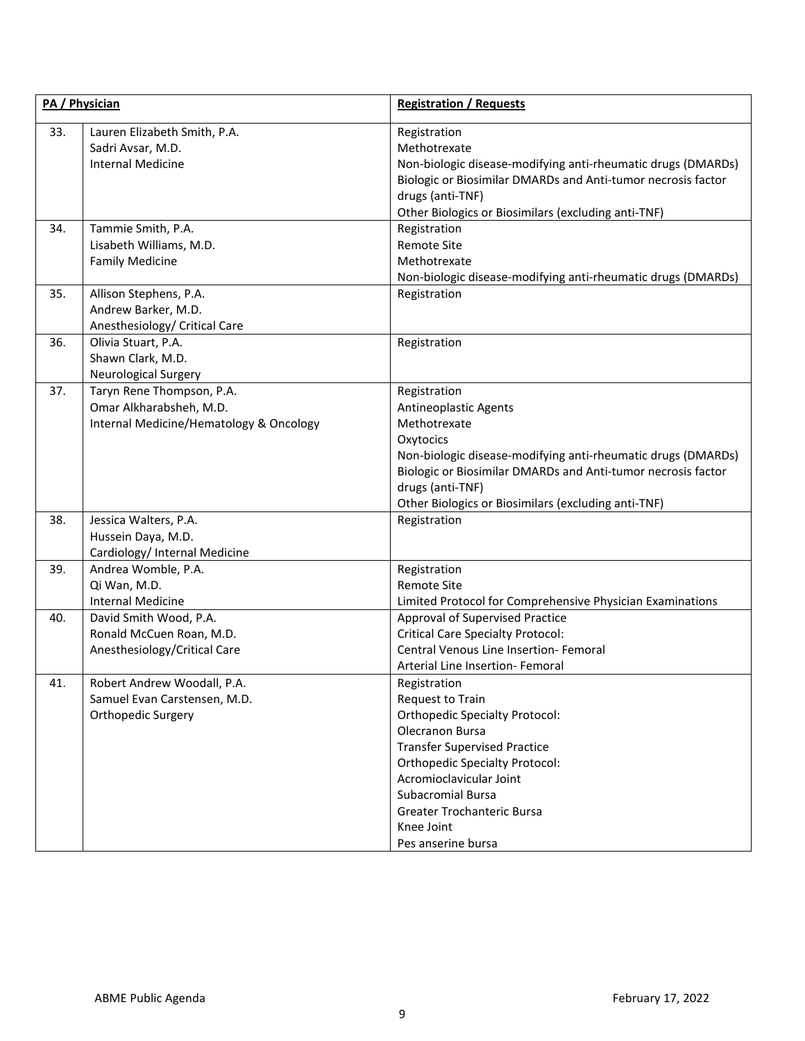| PA / Physician |                                                                                                 | <b>Registration / Requests</b>                                                                                                                                                                                                                                                                 |  |
|----------------|-------------------------------------------------------------------------------------------------|------------------------------------------------------------------------------------------------------------------------------------------------------------------------------------------------------------------------------------------------------------------------------------------------|--|
| 33.            | Lauren Elizabeth Smith, P.A.<br>Sadri Avsar, M.D.<br><b>Internal Medicine</b>                   | Registration<br>Methotrexate<br>Non-biologic disease-modifying anti-rheumatic drugs (DMARDs)<br>Biologic or Biosimilar DMARDs and Anti-tumor necrosis factor<br>drugs (anti-TNF)<br>Other Biologics or Biosimilars (excluding anti-TNF)                                                        |  |
| 34.            | Tammie Smith, P.A.<br>Lisabeth Williams, M.D.<br><b>Family Medicine</b>                         | Registration<br>Remote Site<br>Methotrexate<br>Non-biologic disease-modifying anti-rheumatic drugs (DMARDs)                                                                                                                                                                                    |  |
| 35.            | Allison Stephens, P.A.<br>Andrew Barker, M.D.<br>Anesthesiology/ Critical Care                  | Registration                                                                                                                                                                                                                                                                                   |  |
| 36.            | Olivia Stuart, P.A.<br>Shawn Clark, M.D.<br>Neurological Surgery                                | Registration                                                                                                                                                                                                                                                                                   |  |
| 37.            | Taryn Rene Thompson, P.A.<br>Omar Alkharabsheh, M.D.<br>Internal Medicine/Hematology & Oncology | Registration<br>Antineoplastic Agents<br>Methotrexate<br>Oxytocics<br>Non-biologic disease-modifying anti-rheumatic drugs (DMARDs)<br>Biologic or Biosimilar DMARDs and Anti-tumor necrosis factor<br>drugs (anti-TNF)<br>Other Biologics or Biosimilars (excluding anti-TNF)                  |  |
| 38.            | Jessica Walters, P.A.<br>Hussein Daya, M.D.<br>Cardiology/ Internal Medicine                    | Registration                                                                                                                                                                                                                                                                                   |  |
| 39.            | Andrea Womble, P.A.<br>Qi Wan, M.D.<br><b>Internal Medicine</b>                                 | Registration<br><b>Remote Site</b><br>Limited Protocol for Comprehensive Physician Examinations                                                                                                                                                                                                |  |
| 40.            | David Smith Wood, P.A.<br>Ronald McCuen Roan, M.D.<br>Anesthesiology/Critical Care              | Approval of Supervised Practice<br><b>Critical Care Specialty Protocol:</b><br>Central Venous Line Insertion- Femoral<br>Arterial Line Insertion- Femoral                                                                                                                                      |  |
| 41.            | Robert Andrew Woodall, P.A.<br>Samuel Evan Carstensen, M.D.<br><b>Orthopedic Surgery</b>        | Registration<br>Request to Train<br><b>Orthopedic Specialty Protocol:</b><br>Olecranon Bursa<br><b>Transfer Supervised Practice</b><br><b>Orthopedic Specialty Protocol:</b><br>Acromioclavicular Joint<br>Subacromial Bursa<br>Greater Trochanteric Bursa<br>Knee Joint<br>Pes anserine bursa |  |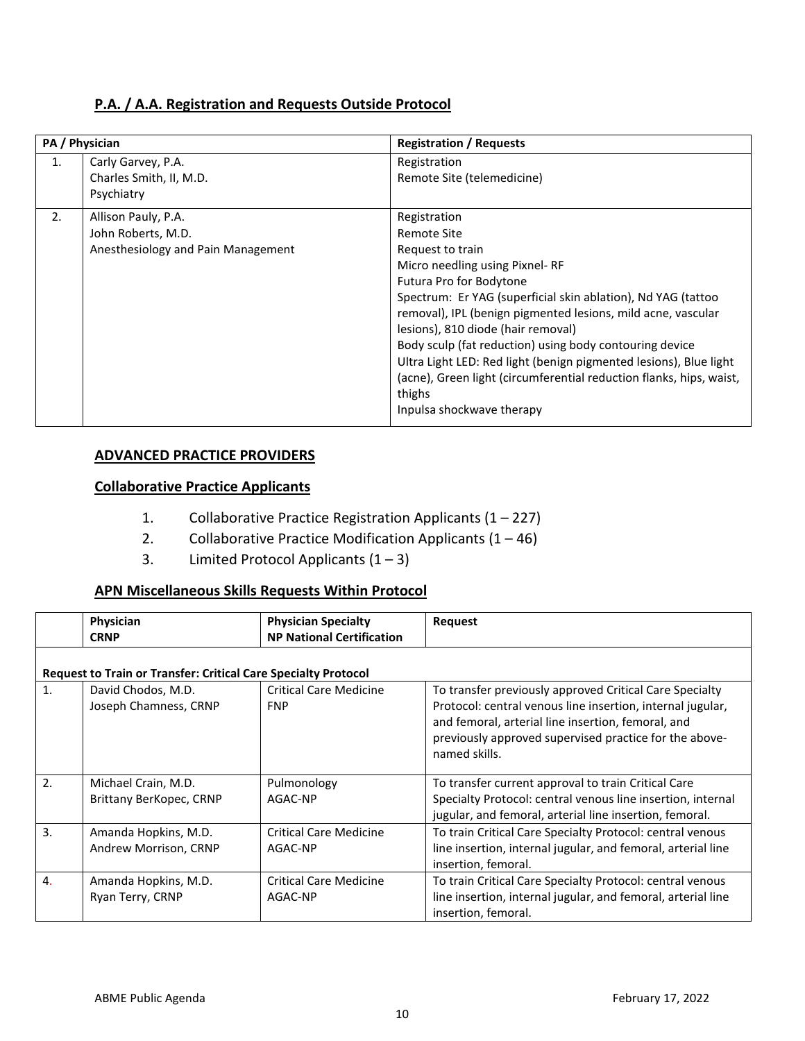### **P.A. / A.A. Registration and Requests Outside Protocol**

|    | PA / Physician                                                                  | <b>Registration / Requests</b>                                                                                                                                                                                                                                                                                                                                                                                                                                                                                                   |
|----|---------------------------------------------------------------------------------|----------------------------------------------------------------------------------------------------------------------------------------------------------------------------------------------------------------------------------------------------------------------------------------------------------------------------------------------------------------------------------------------------------------------------------------------------------------------------------------------------------------------------------|
| 1. | Carly Garvey, P.A.<br>Charles Smith, II, M.D.<br>Psychiatry                     | Registration<br>Remote Site (telemedicine)                                                                                                                                                                                                                                                                                                                                                                                                                                                                                       |
| 2. | Allison Pauly, P.A.<br>John Roberts, M.D.<br>Anesthesiology and Pain Management | Registration<br>Remote Site<br>Request to train<br>Micro needling using Pixnel-RF<br>Futura Pro for Bodytone<br>Spectrum: Er YAG (superficial skin ablation), Nd YAG (tattoo<br>removal), IPL (benign pigmented lesions, mild acne, vascular<br>lesions), 810 diode (hair removal)<br>Body sculp (fat reduction) using body contouring device<br>Ultra Light LED: Red light (benign pigmented lesions), Blue light<br>(acne), Green light (circumferential reduction flanks, hips, waist,<br>thighs<br>Inpulsa shockwave therapy |

### **ADVANCED PRACTICE PROVIDERS**

# **Collaborative Practice Applicants**

- 1. Collaborative Practice Registration Applicants  $(1 227)$
- 2. Collaborative Practice Modification Applicants  $(1 46)$
- 3. Limited Protocol Applicants  $(1 3)$

# **APN Miscellaneous Skills Requests Within Protocol**

|    | Physician                                                             | <b>Physician Specialty</b>       | Request                                                                                                                                                                                     |
|----|-----------------------------------------------------------------------|----------------------------------|---------------------------------------------------------------------------------------------------------------------------------------------------------------------------------------------|
|    | <b>CRNP</b>                                                           | <b>NP National Certification</b> |                                                                                                                                                                                             |
|    |                                                                       |                                  |                                                                                                                                                                                             |
|    | <b>Request to Train or Transfer: Critical Care Specialty Protocol</b> |                                  |                                                                                                                                                                                             |
| 1. | David Chodos, M.D.                                                    | Critical Care Medicine           | To transfer previously approved Critical Care Specialty                                                                                                                                     |
|    | Joseph Chamness, CRNP                                                 | <b>FNP</b>                       | Protocol: central venous line insertion, internal jugular,<br>and femoral, arterial line insertion, femoral, and<br>previously approved supervised practice for the above-<br>named skills. |
| 2. | Michael Crain, M.D.                                                   | Pulmonology                      | To transfer current approval to train Critical Care                                                                                                                                         |
|    | Brittany BerKopec, CRNP                                               | AGAC-NP                          | Specialty Protocol: central venous line insertion, internal                                                                                                                                 |
|    |                                                                       |                                  | jugular, and femoral, arterial line insertion, femoral.                                                                                                                                     |
| 3. | Amanda Hopkins, M.D.                                                  | <b>Critical Care Medicine</b>    | To train Critical Care Specialty Protocol: central venous                                                                                                                                   |
|    | Andrew Morrison, CRNP                                                 | AGAC-NP                          | line insertion, internal jugular, and femoral, arterial line                                                                                                                                |
|    |                                                                       |                                  | insertion, femoral.                                                                                                                                                                         |
| 4. | Amanda Hopkins, M.D.                                                  | <b>Critical Care Medicine</b>    | To train Critical Care Specialty Protocol: central venous                                                                                                                                   |
|    | Ryan Terry, CRNP                                                      | AGAC-NP                          | line insertion, internal jugular, and femoral, arterial line                                                                                                                                |
|    |                                                                       |                                  | insertion, femoral.                                                                                                                                                                         |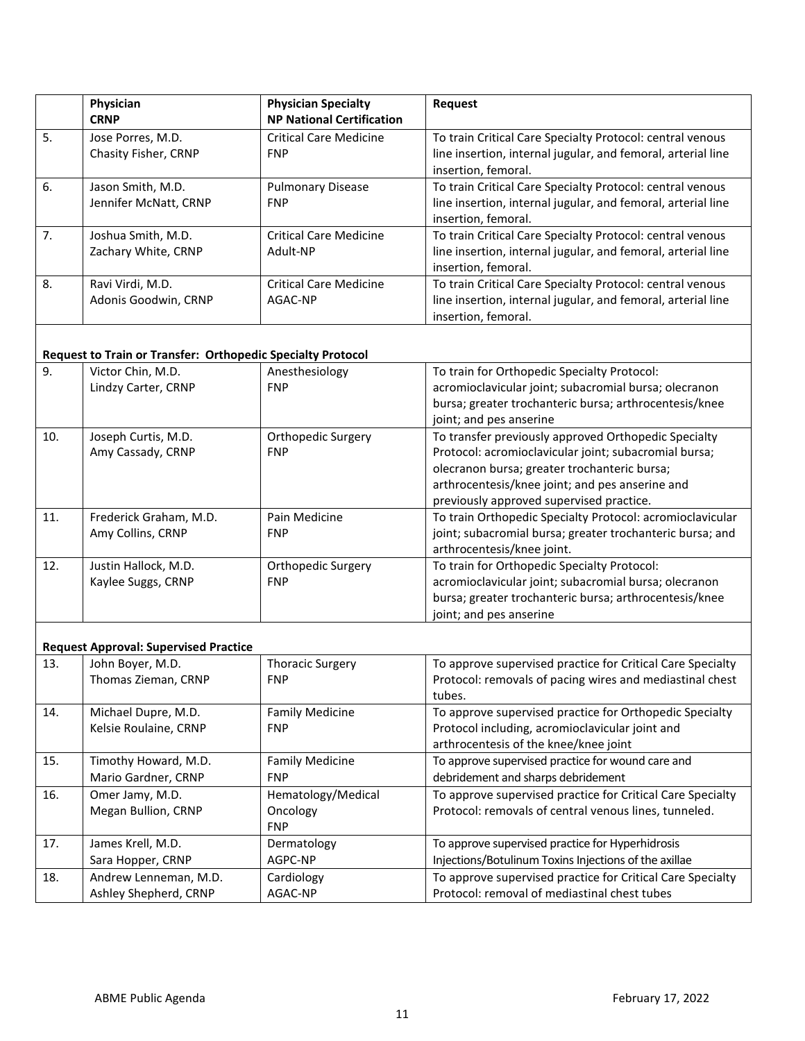|    | Physician<br><b>CRNP</b>                   | <b>Physician Specialty</b><br><b>NP National Certification</b> | <b>Request</b>                                                                                                                                   |
|----|--------------------------------------------|----------------------------------------------------------------|--------------------------------------------------------------------------------------------------------------------------------------------------|
| 5. | Jose Porres, M.D.<br>Chasity Fisher, CRNP  | <b>Critical Care Medicine</b><br><b>FNP</b>                    | To train Critical Care Specialty Protocol: central venous<br>line insertion, internal jugular, and femoral, arterial line<br>insertion, femoral. |
| 6. | Jason Smith, M.D.<br>Jennifer McNatt, CRNP | <b>Pulmonary Disease</b><br><b>FNP</b>                         | To train Critical Care Specialty Protocol: central venous<br>line insertion, internal jugular, and femoral, arterial line<br>insertion, femoral. |
| 7. | Joshua Smith, M.D.<br>Zachary White, CRNP  | <b>Critical Care Medicine</b><br>Adult-NP                      | To train Critical Care Specialty Protocol: central venous<br>line insertion, internal jugular, and femoral, arterial line<br>insertion, femoral. |
| 8. | Ravi Virdi, M.D.<br>Adonis Goodwin, CRNP   | <b>Critical Care Medicine</b><br>AGAC-NP                       | To train Critical Care Specialty Protocol: central venous<br>line insertion, internal jugular, and femoral, arterial line<br>insertion, femoral. |

## **Request to Train or Transfer: Orthopedic Specialty Protocol**

| 9.  | Victor Chin, M.D.      | Anesthesiology     | To train for Orthopedic Specialty Protocol:               |
|-----|------------------------|--------------------|-----------------------------------------------------------|
|     | Lindzy Carter, CRNP    | <b>FNP</b>         | acromioclavicular joint; subacromial bursa; olecranon     |
|     |                        |                    | bursa; greater trochanteric bursa; arthrocentesis/knee    |
|     |                        |                    | joint; and pes anserine                                   |
| 10. | Joseph Curtis, M.D.    | Orthopedic Surgery | To transfer previously approved Orthopedic Specialty      |
|     | Amy Cassady, CRNP      | <b>FNP</b>         | Protocol: acromioclavicular joint; subacromial bursa;     |
|     |                        |                    | olecranon bursa; greater trochanteric bursa;              |
|     |                        |                    | arthrocentesis/knee joint; and pes anserine and           |
|     |                        |                    | previously approved supervised practice.                  |
| 11. | Frederick Graham, M.D. | Pain Medicine      | To train Orthopedic Specialty Protocol: acromioclavicular |
|     | Amy Collins, CRNP      | <b>FNP</b>         | joint; subacromial bursa; greater trochanteric bursa; and |
|     |                        |                    | arthrocentesis/knee joint.                                |
| 12. | Justin Hallock, M.D.   | Orthopedic Surgery | To train for Orthopedic Specialty Protocol:               |
|     | Kaylee Suggs, CRNP     | <b>FNP</b>         | acromioclavicular joint; subacromial bursa; olecranon     |
|     |                        |                    | bursa; greater trochanteric bursa; arthrocentesis/knee    |
|     |                        |                    | joint; and pes anserine                                   |

### **Request Approval: Supervised Practice**

| 13. | John Boyer, M.D.<br>Thomas Zieman, CRNP      | <b>Thoracic Surgery</b><br><b>FNP</b>        | To approve supervised practice for Critical Care Specialty<br>Protocol: removals of pacing wires and mediastinal chest<br>tubes.                    |
|-----|----------------------------------------------|----------------------------------------------|-----------------------------------------------------------------------------------------------------------------------------------------------------|
| 14. | Michael Dupre, M.D.<br>Kelsie Roulaine, CRNP | <b>Family Medicine</b><br><b>FNP</b>         | To approve supervised practice for Orthopedic Specialty<br>Protocol including, acromioclavicular joint and<br>arthrocentesis of the knee/knee joint |
| 15. | Timothy Howard, M.D.                         | <b>Family Medicine</b>                       | To approve supervised practice for wound care and                                                                                                   |
|     | Mario Gardner, CRNP                          | <b>FNP</b>                                   | debridement and sharps debridement                                                                                                                  |
| 16. | Omer Jamy, M.D.<br>Megan Bullion, CRNP       | Hematology/Medical<br>Oncology<br><b>FNP</b> | To approve supervised practice for Critical Care Specialty<br>Protocol: removals of central venous lines, tunneled.                                 |
| 17. | James Krell, M.D.                            | Dermatology                                  | To approve supervised practice for Hyperhidrosis                                                                                                    |
|     | Sara Hopper, CRNP                            | AGPC-NP                                      | Injections/Botulinum Toxins Injections of the axillae                                                                                               |
| 18. | Andrew Lenneman, M.D.                        | Cardiology                                   | To approve supervised practice for Critical Care Specialty                                                                                          |
|     | Ashley Shepherd, CRNP                        | AGAC-NP                                      | Protocol: removal of mediastinal chest tubes                                                                                                        |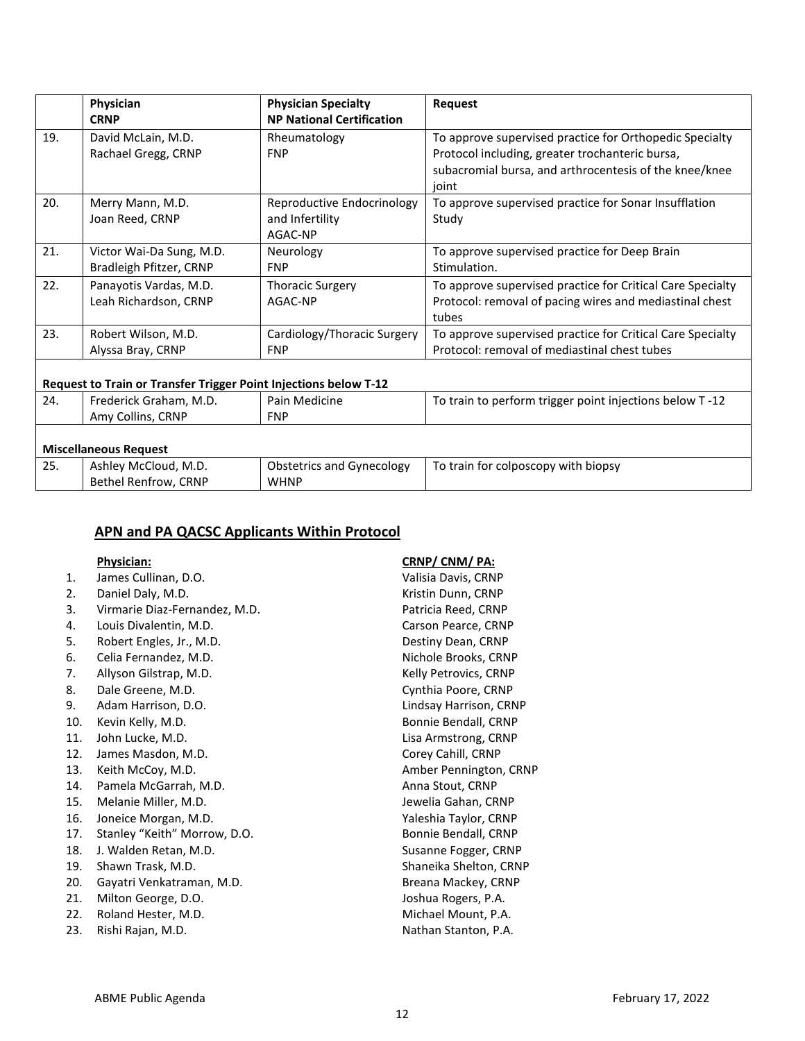|     | Physician                                                        | <b>Physician Specialty</b>       | <b>Request</b>                                             |
|-----|------------------------------------------------------------------|----------------------------------|------------------------------------------------------------|
|     | <b>CRNP</b>                                                      | <b>NP National Certification</b> |                                                            |
| 19. | David McLain, M.D.                                               | Rheumatology                     | To approve supervised practice for Orthopedic Specialty    |
|     | Rachael Gregg, CRNP                                              | <b>FNP</b>                       | Protocol including, greater trochanteric bursa,            |
|     |                                                                  |                                  | subacromial bursa, and arthrocentesis of the knee/knee     |
|     |                                                                  |                                  | joint                                                      |
| 20. | Merry Mann, M.D.                                                 | Reproductive Endocrinology       | To approve supervised practice for Sonar Insufflation      |
|     | Joan Reed, CRNP                                                  | and Infertility                  | Study                                                      |
|     |                                                                  | AGAC-NP                          |                                                            |
| 21. | Victor Wai-Da Sung, M.D.                                         | Neurology                        | To approve supervised practice for Deep Brain              |
|     | Bradleigh Pfitzer, CRNP                                          | <b>FNP</b>                       | Stimulation.                                               |
| 22. | Panayotis Vardas, M.D.                                           | <b>Thoracic Surgery</b>          | To approve supervised practice for Critical Care Specialty |
|     | Leah Richardson, CRNP                                            | AGAC-NP                          | Protocol: removal of pacing wires and mediastinal chest    |
|     |                                                                  |                                  | tubes                                                      |
| 23. | Robert Wilson, M.D.                                              | Cardiology/Thoracic Surgery      | To approve supervised practice for Critical Care Specialty |
|     | Alyssa Bray, CRNP                                                | <b>FNP</b>                       | Protocol: removal of mediastinal chest tubes               |
|     |                                                                  |                                  |                                                            |
|     | Request to Train or Transfer Trigger Point Injections below T-12 |                                  |                                                            |
| 24. | Frederick Graham, M.D.                                           | Pain Medicine                    | To train to perform trigger point injections below T-12    |
|     | Amy Collins, CRNP                                                | <b>FNP</b>                       |                                                            |
|     |                                                                  |                                  |                                                            |
|     | <b>Miscellaneous Request</b>                                     |                                  |                                                            |
| 25. | Ashley McCloud, M.D.                                             | <b>Obstetrics and Gynecology</b> | To train for colposcopy with biopsy                        |
|     | Bethel Renfrow, CRNP                                             | <b>WHNP</b>                      |                                                            |

#### **APN and PA QACSC Applicants Within Protocol**

| Physician |  |  |
|-----------|--|--|
|           |  |  |

- 1. James Cullinan, D.O. Valisia Davis, CRNP
- 2. Daniel Daly, M.D. **Kristin Dunn**, CRNP
- 3. Virmarie Diaz-Fernandez, M.D. Patricia Reed, CRNP
- 4. Louis Divalentin, M.D. Carson Pearce, CRNP
- 5. Robert Engles, Jr., M.D. **Destiny Dean, CRNP**
- 6. Celia Fernandez, M.D. Nichole Brooks, CRNP
- 7. Allyson Gilstrap, M.D. Sand Controller and Muslim Relly Petrovics, CRNP
- 8. Dale Greene, M.D. Cynthia Poore, CRNP
- 9. Adam Harrison, D.O. **Lindsay Harrison, CRNP**
- 10. Kevin Kelly, M.D. **Bonnie Bendall**, CRNP
- 11. John Lucke, M.D. Lisa Armstrong, CRNP
- 12. James Masdon, M.D. Corey Cahill, CRNP
- 
- 14. Pamela McGarrah, M.D. **Anna Stout, CRNP**
- 15. Melanie Miller, M.D. Santana and Sewelia Gahan, CRNP
- 16. Joneice Morgan, M.D. Sand Controller and March Yaleshia Taylor, CRNP
- 17. Stanley "Keith" Morrow, D.O. Sandbook and Bonnie Bendall, CRNP
- 18. J. Walden Retan, M.D. Susanne Fogger, CRNP
- 19. Shawn Trask, M.D. Shaneika Shelton, CRNP
- 20. Gayatri Venkatraman, M.D. Sand Context of Breana Mackey, CRNP
- 21. Milton George, D.O. **Joshua Rogers, P.A.**
- 22. Roland Hester, M.D. Sand Communication of Michael Mount, P.A.
- 23. Rishi Rajan, M.D. Nathan Stanton, P.A.

**Physician: CRNP/ CNM/ PA:**

13. Keith McCoy, M.D. **Amber Pennington, CRNP**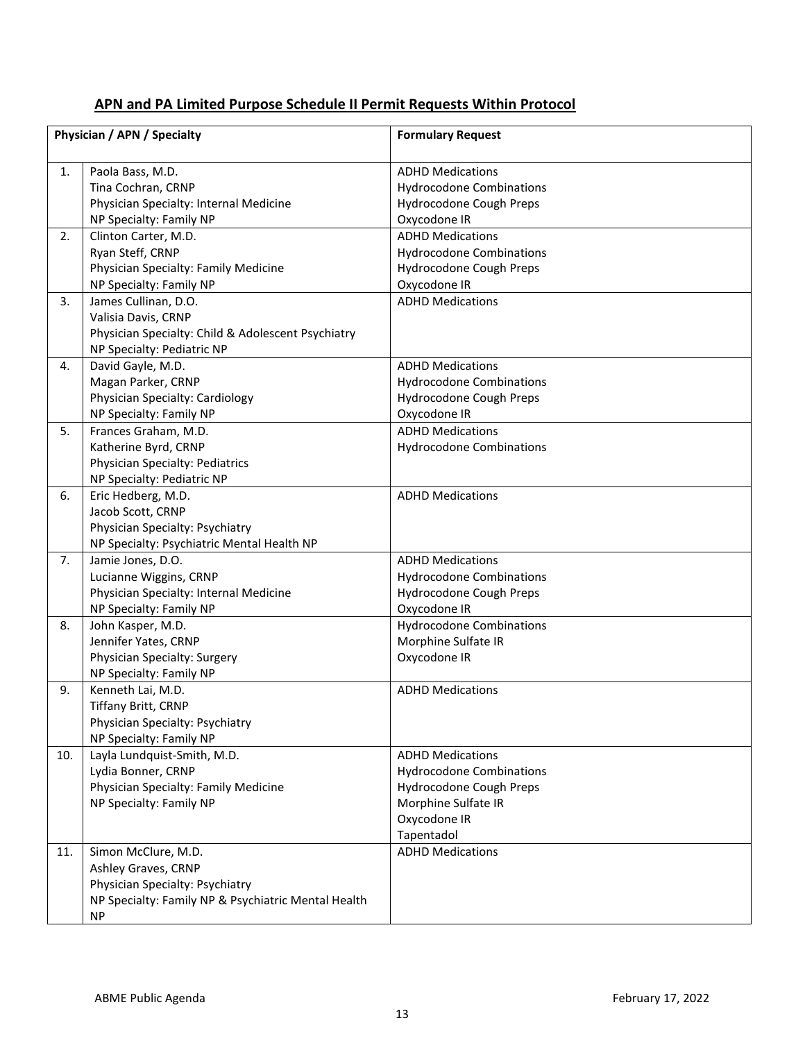# **APN and PA Limited Purpose Schedule II Permit Requests Within Protocol**

|     | Physician / APN / Specialty                         | <b>Formulary Request</b>        |
|-----|-----------------------------------------------------|---------------------------------|
|     |                                                     |                                 |
| 1.  | Paola Bass, M.D.                                    | <b>ADHD Medications</b>         |
|     | Tina Cochran, CRNP                                  | <b>Hydrocodone Combinations</b> |
|     | Physician Specialty: Internal Medicine              | Hydrocodone Cough Preps         |
|     | NP Specialty: Family NP                             | Oxycodone IR                    |
| 2.  | Clinton Carter, M.D.                                | <b>ADHD Medications</b>         |
|     | Ryan Steff, CRNP                                    | <b>Hydrocodone Combinations</b> |
|     | Physician Specialty: Family Medicine                | Hydrocodone Cough Preps         |
|     | NP Specialty: Family NP                             | Oxycodone IR                    |
| 3.  | James Cullinan, D.O.                                | <b>ADHD Medications</b>         |
|     | Valisia Davis, CRNP                                 |                                 |
|     | Physician Specialty: Child & Adolescent Psychiatry  |                                 |
|     | NP Specialty: Pediatric NP                          |                                 |
| 4.  | David Gayle, M.D.                                   | <b>ADHD Medications</b>         |
|     | Magan Parker, CRNP                                  | <b>Hydrocodone Combinations</b> |
|     | Physician Specialty: Cardiology                     | Hydrocodone Cough Preps         |
|     | NP Specialty: Family NP                             | Oxycodone IR                    |
| 5.  | Frances Graham, M.D.                                | <b>ADHD Medications</b>         |
|     | Katherine Byrd, CRNP                                | <b>Hydrocodone Combinations</b> |
|     | Physician Specialty: Pediatrics                     |                                 |
|     | NP Specialty: Pediatric NP                          |                                 |
| 6.  | Eric Hedberg, M.D.                                  | <b>ADHD Medications</b>         |
|     | Jacob Scott, CRNP                                   |                                 |
|     | Physician Specialty: Psychiatry                     |                                 |
|     | NP Specialty: Psychiatric Mental Health NP          |                                 |
| 7.  | Jamie Jones, D.O.                                   | <b>ADHD Medications</b>         |
|     | Lucianne Wiggins, CRNP                              | <b>Hydrocodone Combinations</b> |
|     | Physician Specialty: Internal Medicine              | Hydrocodone Cough Preps         |
|     | NP Specialty: Family NP                             | Oxycodone IR                    |
| 8.  | John Kasper, M.D.                                   | <b>Hydrocodone Combinations</b> |
|     | Jennifer Yates, CRNP                                | Morphine Sulfate IR             |
|     | Physician Specialty: Surgery                        | Oxycodone IR                    |
|     | NP Specialty: Family NP                             |                                 |
| 9.  | Kenneth Lai, M.D.                                   | <b>ADHD Medications</b>         |
|     | Tiffany Britt, CRNP                                 |                                 |
|     | Physician Specialty: Psychiatry                     |                                 |
|     | NP Specialty: Family NP                             |                                 |
| 10. | Layla Lundquist-Smith, M.D.                         | <b>ADHD Medications</b>         |
|     | Lydia Bonner, CRNP                                  | <b>Hydrocodone Combinations</b> |
|     | Physician Specialty: Family Medicine                | Hydrocodone Cough Preps         |
|     | NP Specialty: Family NP                             | Morphine Sulfate IR             |
|     |                                                     | Oxycodone IR                    |
|     |                                                     | Tapentadol                      |
| 11. | Simon McClure, M.D.                                 | <b>ADHD Medications</b>         |
|     | Ashley Graves, CRNP                                 |                                 |
|     | Physician Specialty: Psychiatry                     |                                 |
|     | NP Specialty: Family NP & Psychiatric Mental Health |                                 |
|     | <b>NP</b>                                           |                                 |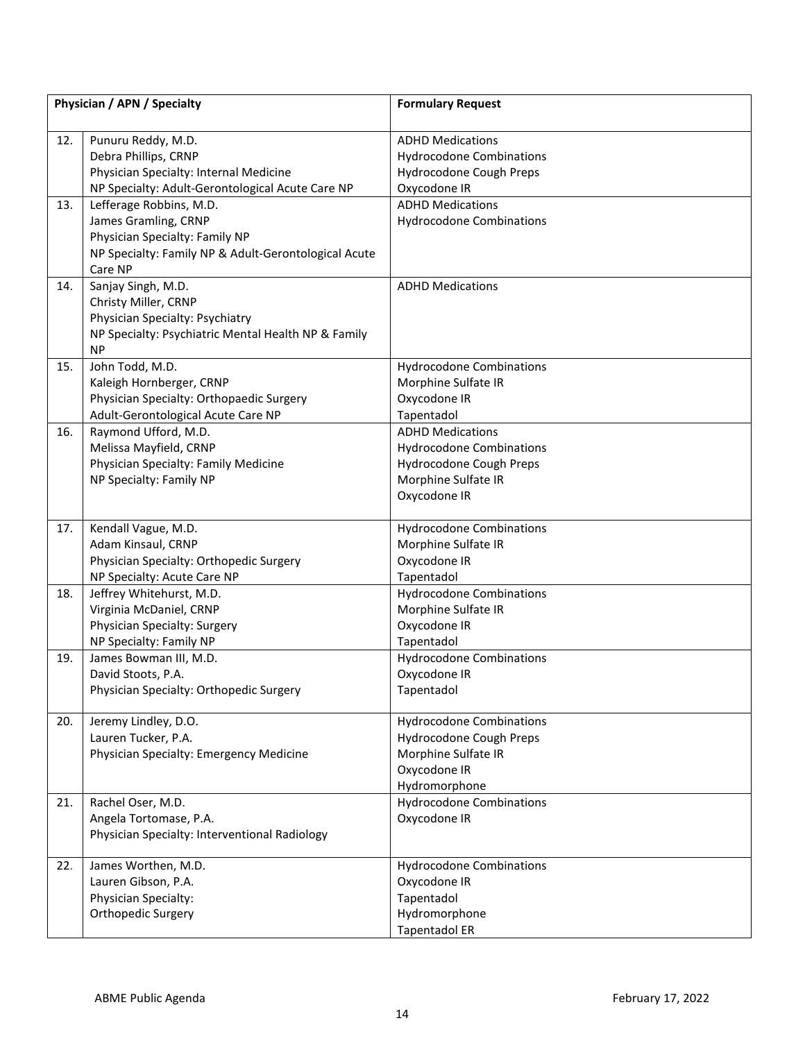| Physician / APN / Specialty |                                                                 | <b>Formulary Request</b>        |
|-----------------------------|-----------------------------------------------------------------|---------------------------------|
| 12.                         | Punuru Reddy, M.D.                                              | <b>ADHD Medications</b>         |
|                             | Debra Phillips, CRNP                                            | <b>Hydrocodone Combinations</b> |
|                             | Physician Specialty: Internal Medicine                          | Hydrocodone Cough Preps         |
|                             | NP Specialty: Adult-Gerontological Acute Care NP                | Oxycodone IR                    |
| 13.                         | Lefferage Robbins, M.D.                                         | <b>ADHD Medications</b>         |
|                             | James Gramling, CRNP                                            | <b>Hydrocodone Combinations</b> |
|                             | Physician Specialty: Family NP                                  |                                 |
|                             | NP Specialty: Family NP & Adult-Gerontological Acute<br>Care NP |                                 |
| 14.                         | Sanjay Singh, M.D.                                              | <b>ADHD Medications</b>         |
|                             | Christy Miller, CRNP                                            |                                 |
|                             | Physician Specialty: Psychiatry                                 |                                 |
|                             | NP Specialty: Psychiatric Mental Health NP & Family             |                                 |
|                             | <b>NP</b>                                                       |                                 |
| 15.                         | John Todd, M.D.                                                 | <b>Hydrocodone Combinations</b> |
|                             | Kaleigh Hornberger, CRNP                                        | Morphine Sulfate IR             |
|                             | Physician Specialty: Orthopaedic Surgery                        | Oxycodone IR                    |
|                             | Adult-Gerontological Acute Care NP                              | Tapentadol                      |
| 16.                         | Raymond Ufford, M.D.                                            | <b>ADHD Medications</b>         |
|                             | Melissa Mayfield, CRNP                                          | <b>Hydrocodone Combinations</b> |
|                             | Physician Specialty: Family Medicine                            | Hydrocodone Cough Preps         |
|                             | NP Specialty: Family NP                                         | Morphine Sulfate IR             |
|                             |                                                                 | Oxycodone IR                    |
|                             |                                                                 |                                 |
| 17.                         | Kendall Vague, M.D.                                             | <b>Hydrocodone Combinations</b> |
|                             | Adam Kinsaul, CRNP                                              | Morphine Sulfate IR             |
|                             | Physician Specialty: Orthopedic Surgery                         | Oxycodone IR                    |
|                             | NP Specialty: Acute Care NP                                     | Tapentadol                      |
| 18.                         | Jeffrey Whitehurst, M.D.                                        | <b>Hydrocodone Combinations</b> |
|                             | Virginia McDaniel, CRNP                                         | Morphine Sulfate IR             |
|                             | Physician Specialty: Surgery                                    | Oxycodone IR                    |
|                             | NP Specialty: Family NP                                         | Tapentadol                      |
| 19.                         | James Bowman III, M.D.                                          | <b>Hydrocodone Combinations</b> |
|                             | David Stoots, P.A.                                              | Oxycodone IR                    |
|                             | Physician Specialty: Orthopedic Surgery                         | Tapentadol                      |
| 20.                         | Jeremy Lindley, D.O.                                            | <b>Hydrocodone Combinations</b> |
|                             | Lauren Tucker, P.A.                                             | Hydrocodone Cough Preps         |
|                             | Physician Specialty: Emergency Medicine                         | Morphine Sulfate IR             |
|                             |                                                                 | Oxycodone IR                    |
|                             |                                                                 | Hydromorphone                   |
| 21.                         | Rachel Oser, M.D.                                               | <b>Hydrocodone Combinations</b> |
|                             | Angela Tortomase, P.A.                                          | Oxycodone IR                    |
|                             | Physician Specialty: Interventional Radiology                   |                                 |
|                             |                                                                 |                                 |
| 22.                         | James Worthen, M.D.                                             | <b>Hydrocodone Combinations</b> |
|                             | Lauren Gibson, P.A.                                             | Oxycodone IR                    |
|                             | Physician Specialty:                                            | Tapentadol                      |
|                             | Orthopedic Surgery                                              | Hydromorphone                   |
|                             |                                                                 | <b>Tapentadol ER</b>            |